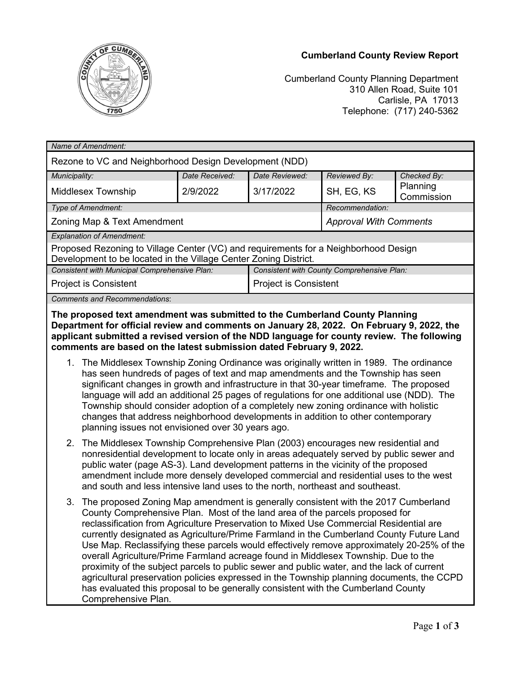## **Cumberland County Review Report**



Cumberland County Planning Department 310 Allen Road, Suite 101 Carlisle, PA 17013 Telephone: (717) 240-5362

| Name of Amendment:                                                                                                                                      |                                            |                              |                               |                        |
|---------------------------------------------------------------------------------------------------------------------------------------------------------|--------------------------------------------|------------------------------|-------------------------------|------------------------|
| Rezone to VC and Neighborhood Design Development (NDD)                                                                                                  |                                            |                              |                               |                        |
| Municipality:                                                                                                                                           | Date Received:                             | Date Reviewed:               | Reviewed By:                  | Checked By:            |
| <b>Middlesex Township</b>                                                                                                                               | 2/9/2022                                   | 3/17/2022                    | SH, EG, KS                    | Planning<br>Commission |
| Type of Amendment:                                                                                                                                      |                                            |                              | Recommendation:               |                        |
| Zoning Map & Text Amendment                                                                                                                             |                                            |                              | <b>Approval With Comments</b> |                        |
| <b>Explanation of Amendment:</b>                                                                                                                        |                                            |                              |                               |                        |
| Proposed Rezoning to Village Center (VC) and requirements for a Neighborhood Design<br>Development to be located in the Village Center Zoning District. |                                            |                              |                               |                        |
| Consistent with Municipal Comprehensive Plan:                                                                                                           | Consistent with County Comprehensive Plan: |                              |                               |                        |
| <b>Project is Consistent</b>                                                                                                                            |                                            | <b>Project is Consistent</b> |                               |                        |
| <b>Comments and Recommendations:</b>                                                                                                                    |                                            |                              |                               |                        |
| The concerned from an order outcome authorities the Acoute of Acoust Alberta Blackbar                                                                   |                                            |                              |                               |                        |

**The proposed text amendment was submitted to the Cumberland County Planning Department for official review and comments on January 28, 2022. On February 9, 2022, the applicant submitted a revised version of the NDD language for county review. The following comments are based on the latest submission dated February 9, 2022.**

- 1. The Middlesex Township Zoning Ordinance was originally written in 1989. The ordinance has seen hundreds of pages of text and map amendments and the Township has seen significant changes in growth and infrastructure in that 30-year timeframe. The proposed language will add an additional 25 pages of regulations for one additional use (NDD). The Township should consider adoption of a completely new zoning ordinance with holistic changes that address neighborhood developments in addition to other contemporary planning issues not envisioned over 30 years ago.
- 2. The Middlesex Township Comprehensive Plan (2003) encourages new residential and nonresidential development to locate only in areas adequately served by public sewer and public water (page AS-3). Land development patterns in the vicinity of the proposed amendment include more densely developed commercial and residential uses to the west and south and less intensive land uses to the north, northeast and southeast.
- 3. The proposed Zoning Map amendment is generally consistent with the 2017 Cumberland County Comprehensive Plan. Most of the land area of the parcels proposed for reclassification from Agriculture Preservation to Mixed Use Commercial Residential are currently designated as Agriculture/Prime Farmland in the Cumberland County Future Land Use Map. Reclassifying these parcels would effectively remove approximately 20-25% of the overall Agriculture/Prime Farmland acreage found in Middlesex Township. Due to the proximity of the subject parcels to public sewer and public water, and the lack of current agricultural preservation policies expressed in the Township planning documents, the CCPD has evaluated this proposal to be generally consistent with the Cumberland County Comprehensive Plan.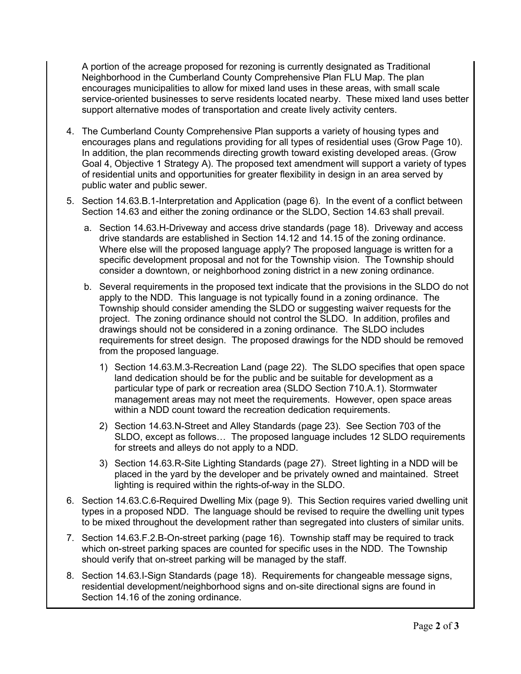A portion of the acreage proposed for rezoning is currently designated as Traditional Neighborhood in the Cumberland County Comprehensive Plan FLU Map. The plan encourages municipalities to allow for mixed land uses in these areas, with small scale service-oriented businesses to serve residents located nearby. These mixed land uses better support alternative modes of transportation and create lively activity centers.

- 4. The Cumberland County Comprehensive Plan supports a variety of housing types and encourages plans and regulations providing for all types of residential uses (Grow Page 10). In addition, the plan recommends directing growth toward existing developed areas. (Grow Goal 4, Objective 1 Strategy A). The proposed text amendment will support a variety of types of residential units and opportunities for greater flexibility in design in an area served by public water and public sewer.
- 5. Section 14.63.B.1-Interpretation and Application (page 6). In the event of a conflict between Section 14.63 and either the zoning ordinance or the SLDO, Section 14.63 shall prevail.
	- a. Section 14.63.H-Driveway and access drive standards (page 18). Driveway and access drive standards are established in Section 14.12 and 14.15 of the zoning ordinance. Where else will the proposed language apply? The proposed language is written for a specific development proposal and not for the Township vision. The Township should consider a downtown, or neighborhood zoning district in a new zoning ordinance.
	- b. Several requirements in the proposed text indicate that the provisions in the SLDO do not apply to the NDD. This language is not typically found in a zoning ordinance. The Township should consider amending the SLDO or suggesting waiver requests for the project. The zoning ordinance should not control the SLDO. In addition, profiles and drawings should not be considered in a zoning ordinance. The SLDO includes requirements for street design. The proposed drawings for the NDD should be removed from the proposed language.
		- 1) Section 14.63.M.3-Recreation Land (page 22). The SLDO specifies that open space land dedication should be for the public and be suitable for development as a particular type of park or recreation area (SLDO Section 710.A.1). Stormwater management areas may not meet the requirements. However, open space areas within a NDD count toward the recreation dedication requirements.
		- 2) Section 14.63.N-Street and Alley Standards (page 23). See Section 703 of the SLDO, except as follows… The proposed language includes 12 SLDO requirements for streets and alleys do not apply to a NDD.
		- 3) Section 14.63.R-Site Lighting Standards (page 27). Street lighting in a NDD will be placed in the yard by the developer and be privately owned and maintained. Street lighting is required within the rights-of-way in the SLDO.
- 6. Section 14.63.C.6-Required Dwelling Mix (page 9). This Section requires varied dwelling unit types in a proposed NDD. The language should be revised to require the dwelling unit types to be mixed throughout the development rather than segregated into clusters of similar units.
- 7. Section 14.63.F.2.B-On-street parking (page 16). Township staff may be required to track which on-street parking spaces are counted for specific uses in the NDD. The Township should verify that on-street parking will be managed by the staff.
- 8. Section 14.63.I-Sign Standards (page 18). Requirements for changeable message signs, residential development/neighborhood signs and on-site directional signs are found in Section 14.16 of the zoning ordinance.